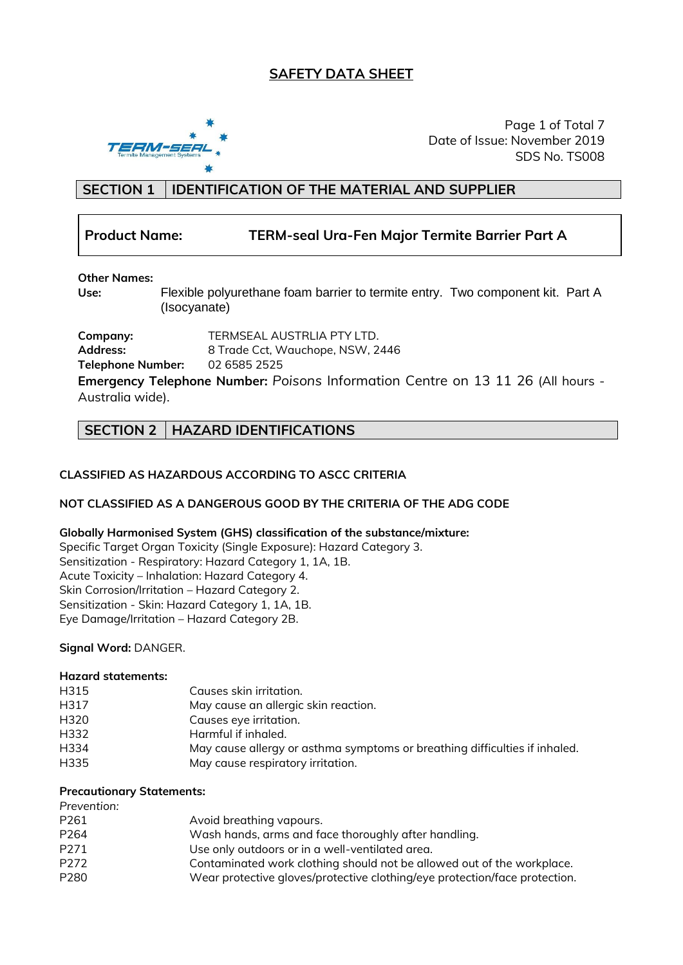## **SAFETY DATA SHEET**



Page 1 of Total 7 Date of Issue: November 2019 SDS No. TS008

## **SECTION 1 IDENTIFICATION OF THE MATERIAL AND SUPPLIER**

## **Product Name: TERM-seal Ura-Fen Major Termite Barrier Part A**

### **Other Names:**

**Use:** Flexible polyurethane foam barrier to termite entry. Two component kit. Part A (Isocyanate)

**Company:** TERMSEAL AUSTRLIA PTY LTD.<br> **Address:** 8 Trade Cct. Wauchope. NSW. 2 **Address:** 8 Trade Cct, Wauchope, NSW, 2446 **Telephone Number:** 02 6585 2525 **Emergency Telephone Number:** *Poisons* Information Centre on 13 11 26 (All hours - Australia wide).

## **SECTION 2 HAZARD IDENTIFICATIONS**

### **CLASSIFIED AS HAZARDOUS ACCORDING TO ASCC CRITERIA**

#### **NOT CLASSIFIED AS A DANGEROUS GOOD BY THE CRITERIA OF THE ADG CODE**

#### **Globally Harmonised System (GHS) classification of the substance/mixture:**

Specific Target Organ Toxicity (Single Exposure): Hazard Category 3. Sensitization - Respiratory: Hazard Category 1, 1A, 1B. Acute Toxicity – Inhalation: Hazard Category 4. Skin Corrosion/Irritation – Hazard Category 2. Sensitization - Skin: Hazard Category 1, 1A, 1B. Eye Damage/Irritation – Hazard Category 2B.

#### **Signal Word:** DANGER.

#### **Hazard statements:**

| H315 | Causes skin irritation.                                                    |
|------|----------------------------------------------------------------------------|
| H317 | May cause an allergic skin reaction.                                       |
| H320 | Causes eye irritation.                                                     |
| H332 | Harmful if inhaled.                                                        |
| H334 | May cause allergy or asthma symptoms or breathing difficulties if inhaled. |
| H335 | May cause respiratory irritation.                                          |

#### **Precautionary Statements:**

| Prevention: |                                                                            |
|-------------|----------------------------------------------------------------------------|
| P261        | Avoid breathing vapours.                                                   |
| P264        | Wash hands, arms and face thoroughly after handling.                       |
| P271        | Use only outdoors or in a well-ventilated area.                            |
| P272        | Contaminated work clothing should not be allowed out of the workplace.     |
| P280        | Wear protective gloves/protective clothing/eye protection/face protection. |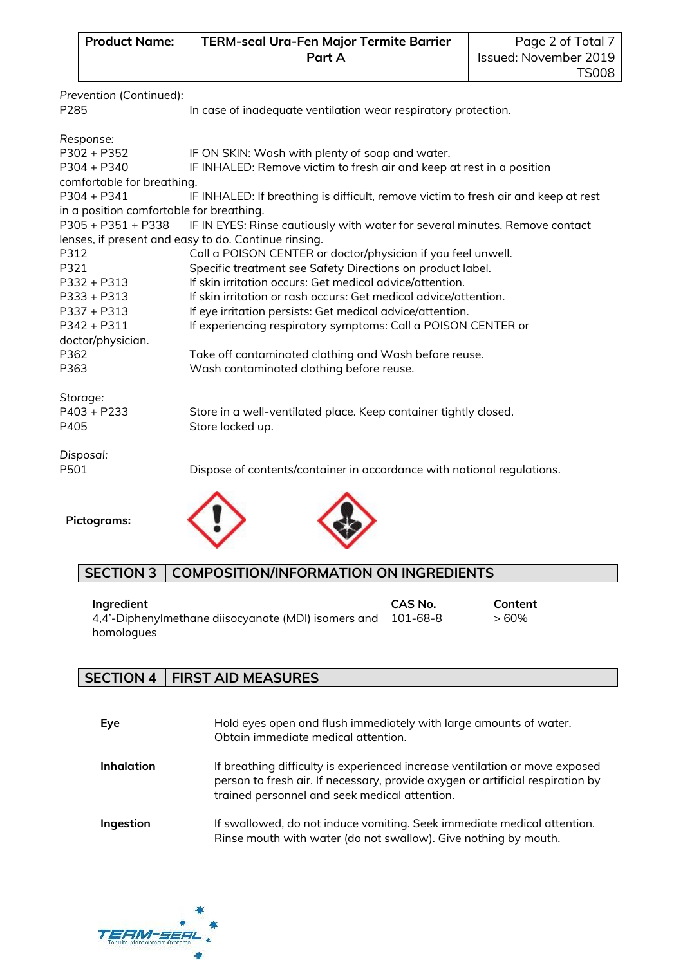**Product Name: TERM-seal Ura-Fen Major Termite Barrier Part A**

| Prevention (Continued):<br>P285                                                                                                                                       | In case of inadequate ventilation wear respiratory protection.                                                                                                                                                                                                                                                                                                                                                                                                                                                                  |                            |                 |
|-----------------------------------------------------------------------------------------------------------------------------------------------------------------------|---------------------------------------------------------------------------------------------------------------------------------------------------------------------------------------------------------------------------------------------------------------------------------------------------------------------------------------------------------------------------------------------------------------------------------------------------------------------------------------------------------------------------------|----------------------------|-----------------|
| Response:<br>$P302 + P352$<br>$P304 + P340$<br>comfortable for breathing.                                                                                             | IF ON SKIN: Wash with plenty of soap and water.<br>IF INHALED: Remove victim to fresh air and keep at rest in a position                                                                                                                                                                                                                                                                                                                                                                                                        |                            |                 |
| $P304 + P341$                                                                                                                                                         | IF INHALED: If breathing is difficult, remove victim to fresh air and keep at rest                                                                                                                                                                                                                                                                                                                                                                                                                                              |                            |                 |
| in a position comfortable for breathing.<br>P305 + P351 + P338<br>P312<br>P321<br>$P332 + P313$<br>$P333 + P313$<br>P337 + P313<br>$P342 + P311$<br>doctor/physician. | IF IN EYES: Rinse cautiously with water for several minutes. Remove contact<br>lenses, if present and easy to do. Continue rinsing.<br>Call a POISON CENTER or doctor/physician if you feel unwell.<br>Specific treatment see Safety Directions on product label.<br>If skin irritation occurs: Get medical advice/attention.<br>If skin irritation or rash occurs: Get medical advice/attention.<br>If eye irritation persists: Get medical advice/attention.<br>If experiencing respiratory symptoms: Call a POISON CENTER or |                            |                 |
| P362<br>P363                                                                                                                                                          | Take off contaminated clothing and Wash before reuse.<br>Wash contaminated clothing before reuse.                                                                                                                                                                                                                                                                                                                                                                                                                               |                            |                 |
| Storage:<br>$P403 + P233$<br>P405                                                                                                                                     | Store in a well-ventilated place. Keep container tightly closed.<br>Store locked up.                                                                                                                                                                                                                                                                                                                                                                                                                                            |                            |                 |
| Disposal:<br>P501                                                                                                                                                     | Dispose of contents/container in accordance with national regulations.                                                                                                                                                                                                                                                                                                                                                                                                                                                          |                            |                 |
| <b>Pictograms:</b>                                                                                                                                                    |                                                                                                                                                                                                                                                                                                                                                                                                                                                                                                                                 |                            |                 |
| <b>SECTION 3</b>                                                                                                                                                      | <b>COMPOSITION/INFORMATION ON INGREDIENTS</b>                                                                                                                                                                                                                                                                                                                                                                                                                                                                                   |                            |                 |
| Ingredient<br>homologues                                                                                                                                              | 4,4'-Diphenylmethane diisocyanate (MDI) isomers and                                                                                                                                                                                                                                                                                                                                                                                                                                                                             | <b>CAS No.</b><br>101-68-8 | Content<br>>60% |

# **SECTION 4 FIRST AID MEASURES**

| Eye               | Hold eyes open and flush immediately with large amounts of water.<br>Obtain immediate medical attention.                                                                                                       |
|-------------------|----------------------------------------------------------------------------------------------------------------------------------------------------------------------------------------------------------------|
| <b>Inhalation</b> | If breathing difficulty is experienced increase ventilation or move exposed<br>person to fresh air. If necessary, provide oxygen or artificial respiration by<br>trained personnel and seek medical attention. |
| Ingestion         | If swallowed, do not induce vomiting. Seek immediate medical attention.<br>Rinse mouth with water (do not swallow). Give nothing by mouth.                                                                     |

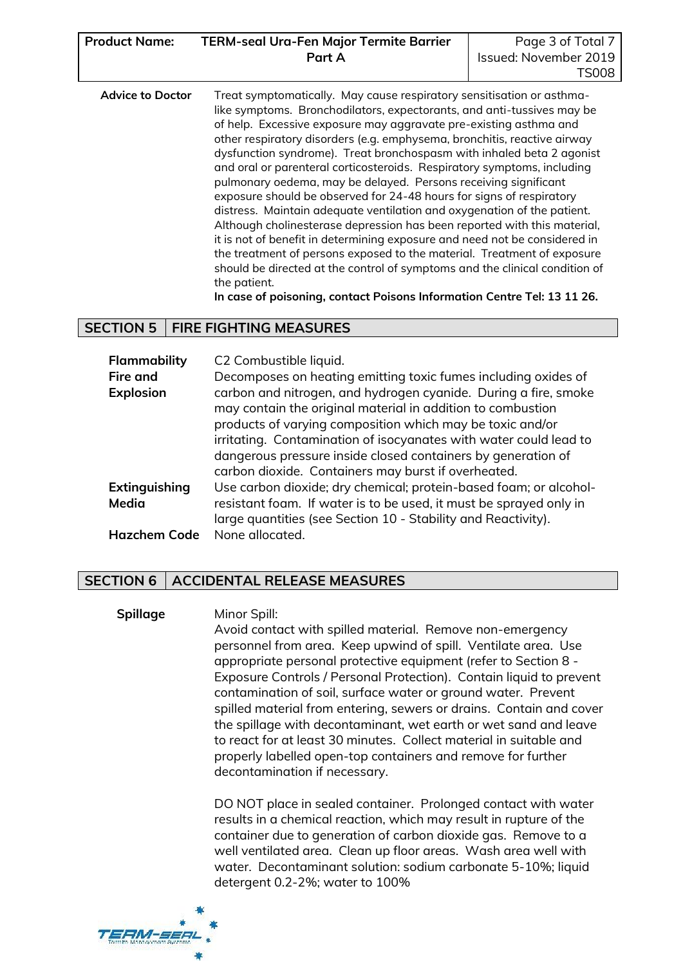| <b>Product Name:</b> | <b>TERM-seal Ura-Fen Major Termite Barrier</b> | Page 3 of Total 7     |
|----------------------|------------------------------------------------|-----------------------|
|                      | Part A                                         | Issued: November 2019 |
|                      |                                                | TS008                 |

| <b>Advice to Doctor</b> | Treat symptomatically. May cause respiratory sensitisation or asthma-<br>like symptoms. Bronchodilators, expectorants, and anti-tussives may be<br>of help. Excessive exposure may aggravate pre-existing asthma and<br>other respiratory disorders (e.g. emphysema, bronchitis, reactive airway<br>dysfunction syndrome). Treat bronchospasm with inhaled beta 2 agonist<br>and oral or parenteral corticosteroids. Respiratory symptoms, including<br>pulmonary oedema, may be delayed. Persons receiving significant<br>exposure should be observed for 24-48 hours for signs of respiratory<br>distress. Maintain adequate ventilation and oxygenation of the patient.<br>Although cholinesterase depression has been reported with this material,<br>it is not of benefit in determining exposure and need not be considered in<br>the treatment of persons exposed to the material. Treatment of exposure |
|-------------------------|-----------------------------------------------------------------------------------------------------------------------------------------------------------------------------------------------------------------------------------------------------------------------------------------------------------------------------------------------------------------------------------------------------------------------------------------------------------------------------------------------------------------------------------------------------------------------------------------------------------------------------------------------------------------------------------------------------------------------------------------------------------------------------------------------------------------------------------------------------------------------------------------------------------------|
|                         | should be directed at the control of symptoms and the clinical condition of<br>the patient.                                                                                                                                                                                                                                                                                                                                                                                                                                                                                                                                                                                                                                                                                                                                                                                                                     |

#### **In case of poisoning, contact Poisons Information Centre Tel: 13 11 26.**

### **SECTION 5 FIRE FIGHTING MEASURES**

| Flammability        | C2 Combustible liquid.                                             |
|---------------------|--------------------------------------------------------------------|
| <b>Fire and</b>     | Decomposes on heating emitting toxic fumes including oxides of     |
| <b>Explosion</b>    | carbon and nitrogen, and hydrogen cyanide. During a fire, smoke    |
|                     | may contain the original material in addition to combustion        |
|                     | products of varying composition which may be toxic and/or          |
|                     | irritating. Contamination of isocyanates with water could lead to  |
|                     | dangerous pressure inside closed containers by generation of       |
|                     | carbon dioxide. Containers may burst if overheated.                |
| Extinguishing       | Use carbon dioxide; dry chemical; protein-based foam; or alcohol-  |
| Media               | resistant foam. If water is to be used, it must be sprayed only in |
|                     | large quantities (see Section 10 - Stability and Reactivity).      |
| <b>Hazchem Code</b> | None allocated.                                                    |

### **SECTION 6 ACCIDENTAL RELEASE MEASURES**

**Spillage** Minor Spill: Avoid contact with spilled material. Remove non-emergency personnel from area. Keep upwind of spill. Ventilate area. Use appropriate personal protective equipment (refer to Section 8 - Exposure Controls / Personal Protection). Contain liquid to prevent contamination of soil, surface water or ground water. Prevent spilled material from entering, sewers or drains. Contain and cover the spillage with decontaminant, wet earth or wet sand and leave to react for at least 30 minutes. Collect material in suitable and properly labelled open-top containers and remove for further decontamination if necessary.

> DO NOT place in sealed container. Prolonged contact with water results in a chemical reaction, which may result in rupture of the container due to generation of carbon dioxide gas. Remove to a well ventilated area. Clean up floor areas. Wash area well with water. Decontaminant solution: sodium carbonate 5-10%; liquid detergent 0.2-2%; water to 100%

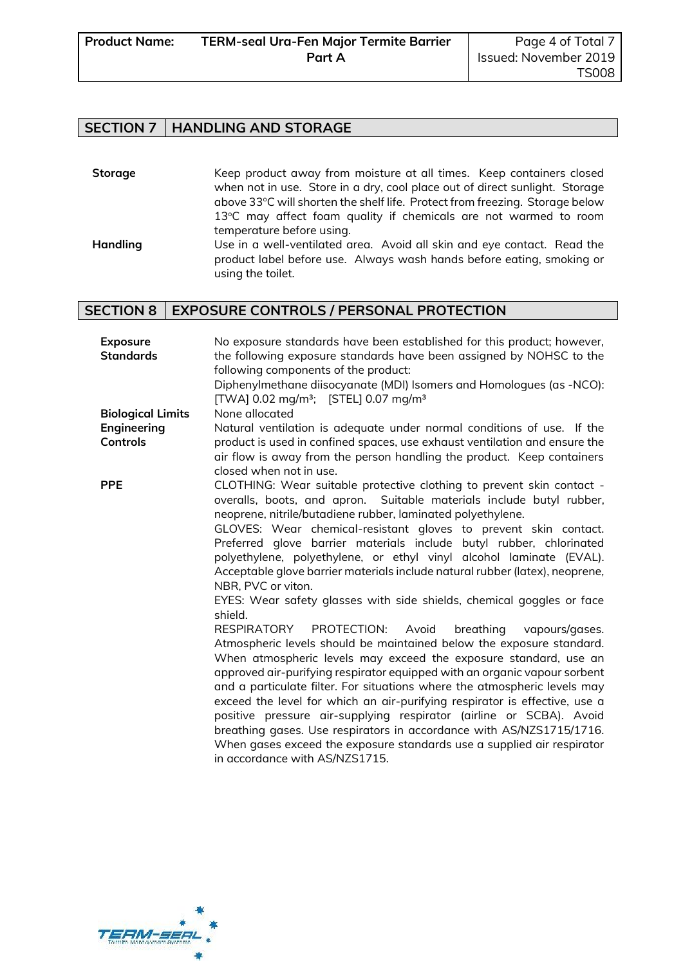## **SECTION 7 HANDLING AND STORAGE**

| Storage  | Keep product away from moisture at all times. Keep containers closed         |
|----------|------------------------------------------------------------------------------|
|          | when not in use. Store in a dry, cool place out of direct sunlight. Storage  |
|          | above 33°C will shorten the shelf life. Protect from freezing. Storage below |
|          | 13°C may affect foam quality if chemicals are not warmed to room             |
|          | temperature before using.                                                    |
| Handling | Use in a well-ventilated area. Avoid all skin and eye contact. Read the      |
|          | product label before use. Always wash hands before eating, smoking or        |

# **SECTION 8 EXPOSURE CONTROLS / PERSONAL PROTECTION**

using the toilet.

| <b>Exposure</b><br><b>Standards</b> | No exposure standards have been established for this product; however,<br>the following exposure standards have been assigned by NOHSC to the<br>following components of the product:<br>Diphenylmethane diisocyanate (MDI) Isomers and Homologues (as -NCO):<br>[TWA] 0.02 mg/m <sup>3</sup> ; [STEL] 0.07 mg/m <sup>3</sup>                                                                                                                                                                                                                                                                                                                                                                                                                                                                                                                                                                                                                                                                                                                                                                                                                   |
|-------------------------------------|-------------------------------------------------------------------------------------------------------------------------------------------------------------------------------------------------------------------------------------------------------------------------------------------------------------------------------------------------------------------------------------------------------------------------------------------------------------------------------------------------------------------------------------------------------------------------------------------------------------------------------------------------------------------------------------------------------------------------------------------------------------------------------------------------------------------------------------------------------------------------------------------------------------------------------------------------------------------------------------------------------------------------------------------------------------------------------------------------------------------------------------------------|
| <b>Biological Limits</b>            | None allocated                                                                                                                                                                                                                                                                                                                                                                                                                                                                                                                                                                                                                                                                                                                                                                                                                                                                                                                                                                                                                                                                                                                                  |
| Engineering                         | Natural ventilation is adequate under normal conditions of use. If the                                                                                                                                                                                                                                                                                                                                                                                                                                                                                                                                                                                                                                                                                                                                                                                                                                                                                                                                                                                                                                                                          |
| <b>Controls</b>                     | product is used in confined spaces, use exhaust ventilation and ensure the<br>air flow is away from the person handling the product. Keep containers<br>closed when not in use.                                                                                                                                                                                                                                                                                                                                                                                                                                                                                                                                                                                                                                                                                                                                                                                                                                                                                                                                                                 |
| <b>PPE</b>                          | CLOTHING: Wear suitable protective clothing to prevent skin contact -<br>overalls, boots, and apron. Suitable materials include butyl rubber,<br>neoprene, nitrile/butadiene rubber, laminated polyethylene.<br>GLOVES: Wear chemical-resistant gloves to prevent skin contact.<br>Preferred glove barrier materials include butyl rubber, chlorinated<br>polyethylene, polyethylene, or ethyl vinyl alcohol laminate (EVAL).<br>Acceptable glove barrier materials include natural rubber (latex), neoprene,<br>NBR, PVC or viton.<br>EYES: Wear safety glasses with side shields, chemical goggles or face<br>shield.<br>RESPIRATORY PROTECTION: Avoid<br>breathing vapours/gases.<br>Atmospheric levels should be maintained below the exposure standard.<br>When atmospheric levels may exceed the exposure standard, use an<br>approved air-purifying respirator equipped with an organic vapour sorbent<br>and a particulate filter. For situations where the atmospheric levels may<br>exceed the level for which an air-purifying respirator is effective, use a<br>positive pressure air-supplying respirator (airline or SCBA). Avoid |
|                                     | breathing gases. Use respirators in accordance with AS/NZS1715/1716.<br>When gases exceed the exposure standards use a supplied air respirator<br>in accordance with AS/NZS1715.                                                                                                                                                                                                                                                                                                                                                                                                                                                                                                                                                                                                                                                                                                                                                                                                                                                                                                                                                                |

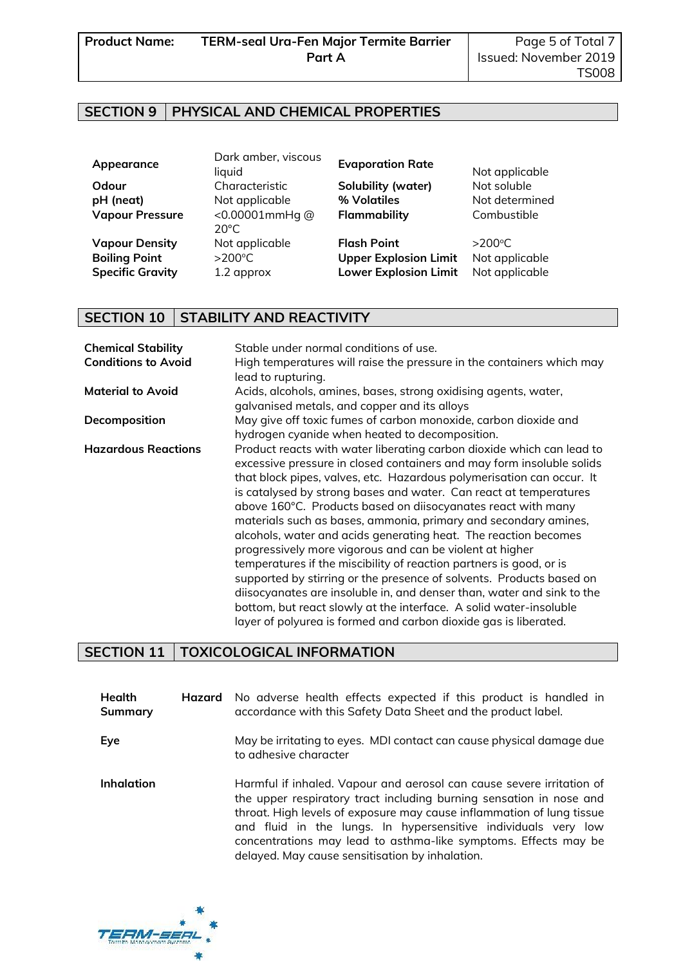## **SECTION 9 PHYSICAL AND CHEMICAL PROPERTIES**

| Appearance              | Dark amber, viscous<br>liquid           | <b>Evaporation Rate</b>      | Not applicable   |
|-------------------------|-----------------------------------------|------------------------------|------------------|
| Odour                   | Characteristic                          | Solubility (water)           | Not soluble      |
| pH (neat)               | Not applicable                          | % Volatiles                  | Not determined   |
| <b>Vapour Pressure</b>  | < $0.00001$ mmHq $@$<br>$20^{\circ}$ C. | Flammability                 | Combustible      |
| <b>Vapour Density</b>   | Not applicable                          | <b>Flash Point</b>           | $>200^{\circ}$ C |
| <b>Boiling Point</b>    | $>200^{\circ}$ C                        | <b>Upper Explosion Limit</b> | Not applicable   |
| <b>Specific Gravity</b> | 1.2 approx                              | <b>Lower Explosion Limit</b> | Not applicable   |

## **SECTION 10 STABILITY AND REACTIVITY**

| <b>Chemical Stability</b><br><b>Conditions to Avoid</b> | Stable under normal conditions of use.<br>High temperatures will raise the pressure in the containers which may<br>lead to rupturing.                                                                                                                                                                                                                                                                                                                                                                                                                                                                                                                                                                                                                                                                                                                                                                                             |
|---------------------------------------------------------|-----------------------------------------------------------------------------------------------------------------------------------------------------------------------------------------------------------------------------------------------------------------------------------------------------------------------------------------------------------------------------------------------------------------------------------------------------------------------------------------------------------------------------------------------------------------------------------------------------------------------------------------------------------------------------------------------------------------------------------------------------------------------------------------------------------------------------------------------------------------------------------------------------------------------------------|
| <b>Material to Avoid</b>                                | Acids, alcohols, amines, bases, strong oxidising agents, water,<br>galvanised metals, and copper and its alloys                                                                                                                                                                                                                                                                                                                                                                                                                                                                                                                                                                                                                                                                                                                                                                                                                   |
| Decomposition                                           | May give off toxic fumes of carbon monoxide, carbon dioxide and<br>hydrogen cyanide when heated to decomposition.                                                                                                                                                                                                                                                                                                                                                                                                                                                                                                                                                                                                                                                                                                                                                                                                                 |
| <b>Hazardous Reactions</b>                              | Product reacts with water liberating carbon dioxide which can lead to<br>excessive pressure in closed containers and may form insoluble solids<br>that block pipes, valves, etc. Hazardous polymerisation can occur. It<br>is catalysed by strong bases and water. Can react at temperatures<br>above 160°C. Products based on diisocyanates react with many<br>materials such as bases, ammonia, primary and secondary amines,<br>alcohols, water and acids generating heat. The reaction becomes<br>progressively more vigorous and can be violent at higher<br>temperatures if the miscibility of reaction partners is good, or is<br>supported by stirring or the presence of solvents. Products based on<br>diisocyanates are insoluble in, and denser than, water and sink to the<br>bottom, but react slowly at the interface. A solid water-insoluble<br>layer of polyurea is formed and carbon dioxide gas is liberated. |

## **SECTION 11 TOXICOLOGICAL INFORMATION**

| Health<br><b>Summary</b> | <b>Hazard</b> No adverse health effects expected if this product is handled in<br>accordance with this Safety Data Sheet and the product label.                                                                                                                                                                                                                                                               |
|--------------------------|---------------------------------------------------------------------------------------------------------------------------------------------------------------------------------------------------------------------------------------------------------------------------------------------------------------------------------------------------------------------------------------------------------------|
| Eye                      | May be irritating to eyes. MDI contact can cause physical damage due<br>to adhesive character                                                                                                                                                                                                                                                                                                                 |
| <b>Inhalation</b>        | Harmful if inhaled. Vapour and aerosol can cause severe irritation of<br>the upper respiratory tract including burning sensation in nose and<br>throat. High levels of exposure may cause inflammation of lung tissue<br>and fluid in the lungs. In hypersensitive individuals very low<br>concentrations may lead to asthma-like symptoms. Effects may be<br>delayed. May cause sensitisation by inhalation. |

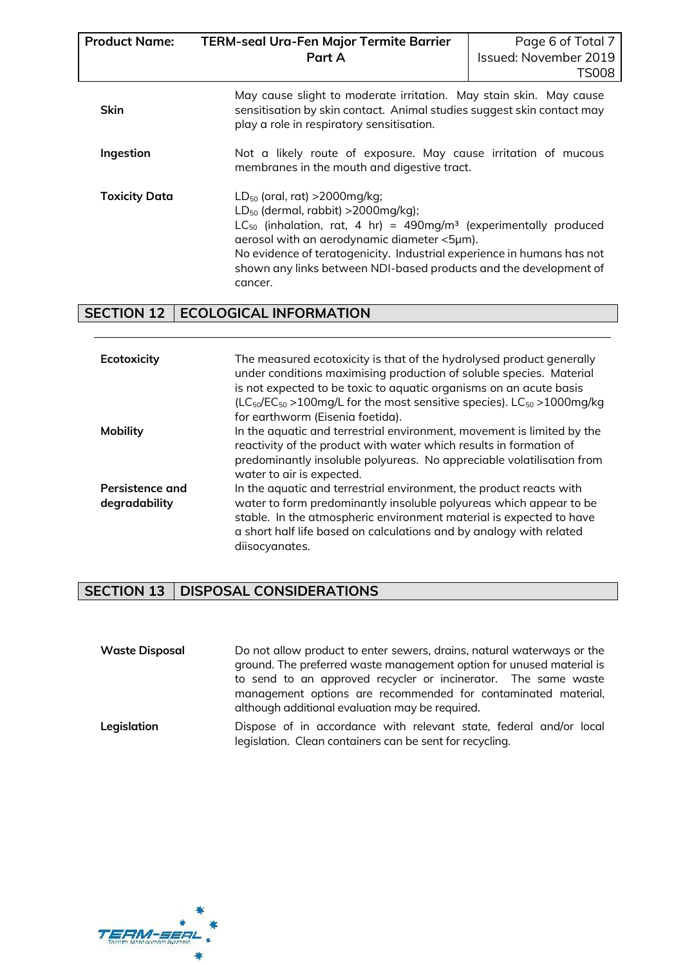| <b>Product Name:</b> | <b>TERM-seal Ura-Fen Major Termite Barrier</b><br>Part A                                                                                                                                                                                                                                                                                                                          | Page 6 of Total 7<br>Issued: November 2019<br><b>TS008</b> |  |  |  |
|----------------------|-----------------------------------------------------------------------------------------------------------------------------------------------------------------------------------------------------------------------------------------------------------------------------------------------------------------------------------------------------------------------------------|------------------------------------------------------------|--|--|--|
| <b>Skin</b>          | May cause slight to moderate irritation. May stain skin. May cause<br>sensitisation by skin contact. Animal studies suggest skin contact may<br>play a role in respiratory sensitisation.                                                                                                                                                                                         |                                                            |  |  |  |
| Ingestion            | Not a likely route of exposure. May cause irritation of mucous<br>membranes in the mouth and digestive tract.                                                                                                                                                                                                                                                                     |                                                            |  |  |  |
| <b>Toxicity Data</b> | $LD_{50}$ (oral, rat) >2000mg/kg;<br>$LD_{50}$ (dermal, rabbit) >2000mg/kg);<br>LC <sub>50</sub> (inhalation, rat, 4 hr) = 490mg/m <sup>3</sup> (experimentally produced<br>aerosol with an aerodynamic diameter <5µm).<br>No evidence of teratogenicity. Industrial experience in humans has not<br>shown any links between NDI-based products and the development of<br>cancer. |                                                            |  |  |  |

# **SECTION 12 ECOLOGICAL INFORMATION**

| Ecotoxicity                      | The measured ecotoxicity is that of the hydrolysed product generally<br>under conditions maximising production of soluble species. Material<br>is not expected to be toxic to aquatic organisms on an acute basis<br>(LC $_{50}/EC_{50}$ >100mg/L for the most sensitive species). LC $_{50}$ >1000mg/kg<br>for earthworm (Eisenia foetida). |
|----------------------------------|----------------------------------------------------------------------------------------------------------------------------------------------------------------------------------------------------------------------------------------------------------------------------------------------------------------------------------------------|
| <b>Mobility</b>                  | In the aquatic and terrestrial environment, movement is limited by the<br>reactivity of the product with water which results in formation of<br>predominantly insoluble polyureas. No appreciable volatilisation from<br>water to air is expected.                                                                                           |
| Persistence and<br>degradability | In the aquatic and terrestrial environment, the product reacts with<br>water to form predominantly insoluble polyureas which appear to be<br>stable. In the atmospheric environment material is expected to have<br>a short half life based on calculations and by analogy with related<br>diisocyanates.                                    |

# **SECTION 13 DISPOSAL CONSIDERATIONS**

| <b>Waste Disposal</b> | Do not allow product to enter sewers, drains, natural waterways or the<br>ground. The preferred waste management option for unused material is<br>to send to an approved recycler or incinerator. The same waste<br>management options are recommended for contaminated material,<br>although additional evaluation may be required. |
|-----------------------|--------------------------------------------------------------------------------------------------------------------------------------------------------------------------------------------------------------------------------------------------------------------------------------------------------------------------------------|
| Legislation           | Dispose of in accordance with relevant state, federal and/or local<br>legislation. Clean containers can be sent for recycling.                                                                                                                                                                                                       |